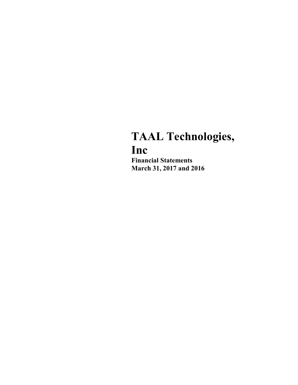# TAAL Technologies, Inc

Financial Statements March 31, 2017 and 2016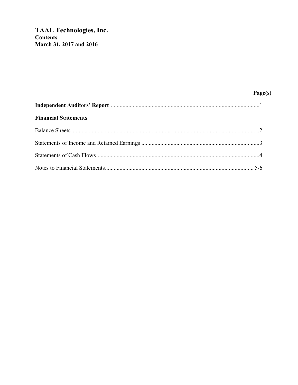## Page(s)

| <b>Financial Statements</b> |  |
|-----------------------------|--|
|                             |  |
|                             |  |
|                             |  |
|                             |  |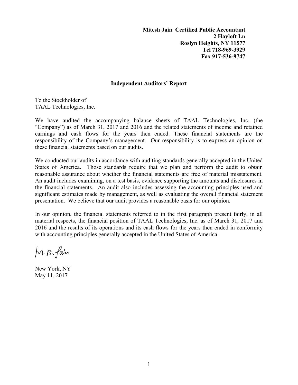**Mitesh Jain Certified Public Accountant 2 Hayloft Ln Roslyn Heights, NY 11577 Tel 718-969-3929 Fax 917-536-9747** 

#### **Independent Auditors' Report**

To the Stockholder of TAAL Technologies, Inc.

We have audited the accompanying balance sheets of TAAL Technologies, Inc. (the "Company") as of March 31, 2017 and 2016 and the related statements of income and retained earnings and cash flows for the years then ended. These financial statements are the responsibility of the Company's management. Our responsibility is to express an opinion on these financial statements based on our audits.

We conducted our audits in accordance with auditing standards generally accepted in the United States of America. Those standards require that we plan and perform the audit to obtain reasonable assurance about whether the financial statements are free of material misstatement. An audit includes examining, on a test basis, evidence supporting the amounts and disclosures in the financial statements. An audit also includes assessing the accounting principles used and significant estimates made by management, as well as evaluating the overall financial statement presentation. We believe that our audit provides a reasonable basis for our opinion.

In our opinion, the financial statements referred to in the first paragraph present fairly, in all material respects, the financial position of TAAL Technologies, Inc. as of March 31, 2017 and 2016 and the results of its operations and its cash flows for the years then ended in conformity with accounting principles generally accepted in the United States of America.

M.B. fain

New York, NY May 11, 2017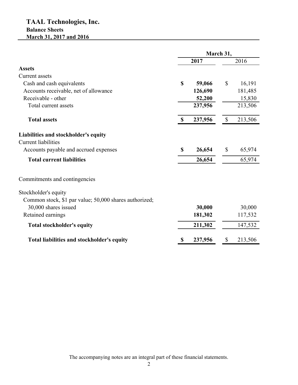## **TAAL Technologies, Inc. Balance Sheets March 31, 2017 and 2016**

|                                                        | March 31,     |         |                           |         |
|--------------------------------------------------------|---------------|---------|---------------------------|---------|
|                                                        |               | 2017    |                           | 2016    |
| <b>Assets</b>                                          |               |         |                           |         |
| Current assets                                         |               |         |                           |         |
| Cash and cash equivalents                              | \$            | 59,066  | $\mathbb{S}$              | 16,191  |
| Accounts receivable, net of allowance                  |               | 126,690 |                           | 181,485 |
| Receivable - other                                     |               | 52,200  |                           | 15,830  |
| Total current assets                                   |               | 237,956 |                           | 213,506 |
| <b>Total assets</b>                                    | $\mathbf{\$}$ | 237,956 | $\boldsymbol{\mathsf{S}}$ | 213,506 |
| Liabilities and stockholder's equity                   |               |         |                           |         |
| <b>Current liabilities</b>                             |               |         |                           |         |
| Accounts payable and accrued expenses                  | \$            | 26,654  | \$                        | 65,974  |
| <b>Total current liabilities</b>                       |               | 26,654  |                           | 65,974  |
| Commitments and contingencies                          |               |         |                           |         |
| Stockholder's equity                                   |               |         |                           |         |
| Common stock, \$1 par value; 50,000 shares authorized; |               |         |                           |         |
| 30,000 shares issued                                   |               | 30,000  |                           | 30,000  |
| Retained earnings                                      |               | 181,302 |                           | 117,532 |
| <b>Total stockholder's equity</b>                      |               | 211,302 |                           | 147,532 |
| Total liabilities and stockholder's equity             | \$            | 237,956 | \$                        | 213,506 |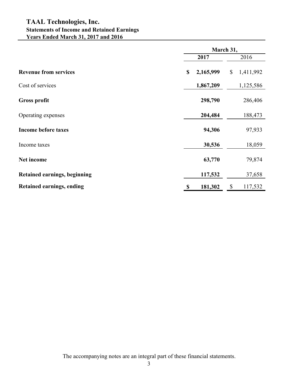## **TAAL Technologies, Inc. Statements of Income and Retained Earnings Years Ended March 31, 2017 and 2016**

|                                     |                 | March 31,       |  |  |
|-------------------------------------|-----------------|-----------------|--|--|
|                                     | 2017            | 2016            |  |  |
| <b>Revenue from services</b>        | 2,165,999<br>\$ | \$<br>1,411,992 |  |  |
| Cost of services                    | 1,867,209       | 1,125,586       |  |  |
| <b>Gross profit</b>                 | 298,790         | 286,406         |  |  |
| Operating expenses                  | 204,484         | 188,473         |  |  |
| <b>Income before taxes</b>          | 94,306          | 97,933          |  |  |
| Income taxes                        | 30,536          | 18,059          |  |  |
| Net income                          | 63,770          | 79,874          |  |  |
| <b>Retained earnings, beginning</b> | 117,532         | 37,658          |  |  |
| <b>Retained earnings, ending</b>    | 181,302<br>S    | \$<br>117,532   |  |  |

The accompanying notes are an integral part of these financial statements.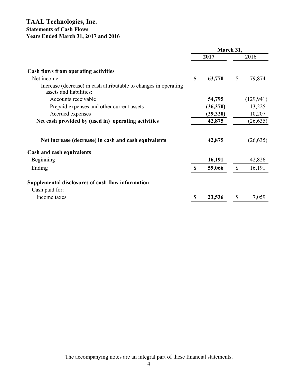### **TAAL Technologies, Inc. Statements of Cash Flows Years Ended March 31, 2017 and 2016**

|                                                                                             |             | March 31, |               |            |
|---------------------------------------------------------------------------------------------|-------------|-----------|---------------|------------|
|                                                                                             |             | 2017      |               | 2016       |
| <b>Cash flows from operating activities</b>                                                 |             |           |               |            |
| Net income                                                                                  | $\mathbf S$ | 63,770    | \$            | 79,874     |
| Increase (decrease) in cash attributable to changes in operating<br>assets and liabilities: |             |           |               |            |
| Accounts receivable                                                                         |             | 54,795    |               | (129, 941) |
| Prepaid expenses and other current assets                                                   |             | (36,370)  |               | 13,225     |
| Accrued expenses                                                                            |             | (39,320)  |               | 10,207     |
| Net cash provided by (used in) operating activities                                         |             | 42,875    |               | (26, 635)  |
| Net increase (decrease) in cash and cash equivalents                                        |             | 42,875    |               | (26, 635)  |
| Cash and cash equivalents                                                                   |             |           |               |            |
| Beginning                                                                                   |             | 16,191    |               | 42,826     |
| Ending                                                                                      | $\mathbf S$ | 59,066    | $\mathcal{S}$ | 16,191     |
| Supplemental disclosures of cash flow information                                           |             |           |               |            |
| Cash paid for:                                                                              |             |           |               |            |
| Income taxes                                                                                | \$          | 23,536    | S             | 7,059      |

The accompanying notes are an integral part of these financial statements.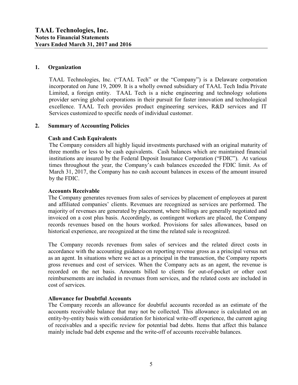#### 1. Organization

TAAL Technologies, Inc. ("TAAL Tech" or the "Company") is a Delaware corporation incorporated on June 19, 2009. It is a wholly owned subsidiary of TAAL Tech India Private Limited, a foreign entity. TAAL Tech is a niche engineering and technology solutions provider serving global corporations in their pursuit for faster innovation and technological excellence. TAAL Tech provides product engineering services, R&D services and IT Services customized to specific needs of individual customer.

#### 2. Summary of Accounting Policies

#### Cash and Cash Equivalents

The Company considers all highly liquid investments purchased with an original maturity of three months or less to be cash equivalents. Cash balances which are maintained financial institutions are insured by the Federal Deposit Insurance Corporation ("FDIC"). At various times throughout the year, the Company's cash balances exceeded the FDIC limit. As of March 31, 2017, the Company has no cash account balances in excess of the amount insured by the FDIC.

#### Accounts Receivable

The Company generates revenues from sales of services by placement of employees at parent and affiliated companies' clients. Revenues are recognized as services are performed. The majority of revenues are generated by placement, where billings are generally negotiated and invoiced on a cost plus basis. Accordingly, as contingent workers are placed, the Company records revenues based on the hours worked. Provisions for sales allowances, based on historical experience, are recognized at the time the related sale is recognized.

The Company records revenues from sales of services and the related direct costs in accordance with the accounting guidance on reporting revenue gross as a principal versus net as an agent. In situations where we act as a principal in the transaction, the Company reports gross revenues and cost of services. When the Company acts as an agent, the revenue is recorded on the net basis. Amounts billed to clients for out-of-pocket or other cost reimbursements are included in revenues from services, and the related costs are included in cost of services.

#### Allowance for Doubtful Accounts

The Company records an allowance for doubtful accounts recorded as an estimate of the accounts receivable balance that may not be collected. This allowance is calculated on an entity-by-entity basis with consideration for historical write-off experience, the current aging of receivables and a specific review for potential bad debts. Items that affect this balance mainly include bad debt expense and the write-off of accounts receivable balances.